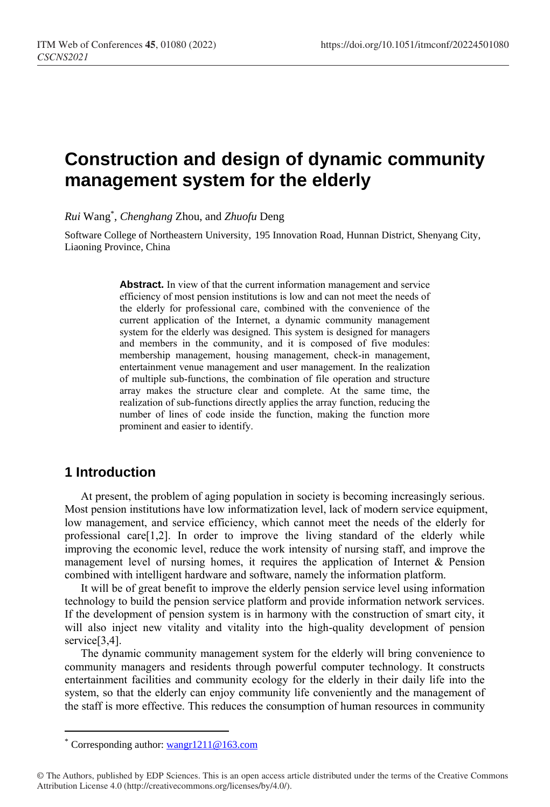# **Construction and design of dynamic community management system for the elderly**

*Rui* Wang\* , *Chenghang* Zhou, and *Zhuofu* Deng

Software College of Northeastern University, 195 Innovation Road, Hunnan District, Shenyang City, Liaoning Province, China

> **Abstract.** In view of that the current information management and service efficiency of most pension institutions is low and can not meet the needs of the elderly for professional care, combined with the convenience of the current application of the Internet, a dynamic community management system for the elderly was designed. This system is designed for managers and members in the community, and it is composed of five modules: membership management, housing management, check-in management, entertainment venue management and user management. In the realization of multiple sub-functions, the combination of file operation and structure array makes the structure clear and complete. At the same time, the realization of sub-functions directly applies the array function, reducing the number of lines of code inside the function, making the function more prominent and easier to identify.

## **1 Introduction**

 $\overline{a}$ 

At present, the problem of aging population in society is becoming increasingly serious. Most pension institutions have low informatization level, lack of modern service equipment, low management, and service efficiency, which cannot meet the needs of the elderly for professional care  $[1,2]$ . In order to improve the living standard of the elderly while improving the economic level, reduce the work intensity of nursing staff, and improve the management level of nursing homes, it requires the application of Internet & Pension combined with intelligent hardware and software, namely the information platform.

It will be of great benefit to improve the elderly pension service level using information technology to build the pension service platform and provide information network services. If the development of pension system is in harmony with the construction of smart city, it will also inject new vitality and vitality into the high-quality development of pension service<sup>[3,4]</sup>.

The dynamic community management system for the elderly will bring convenience to community managers and residents through powerful computer technology. It constructs entertainment facilities and community ecology for the elderly in their daily life into the system, so that the elderly can enjoy community life conveniently and the management of the staff is more effective. This reduces the consumption of human resources in community

Corresponding author: [wangr1211@163.com](mailto:wangr1211@163.com)

<sup>©</sup> The Authors, published by EDP Sciences. This is an open access article distributed under the terms of the Creative Commons Attribution License 4.0 (http://creativecommons.org/licenses/by/4.0/).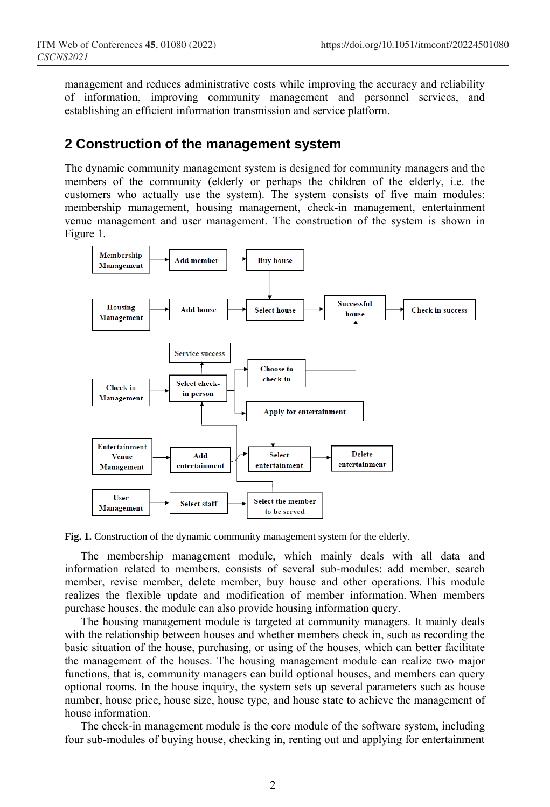management and reduces administrative costs while improving the accuracy and reliability of information, improving community management and personnel services, and establishing an efficient information transmission and service platform.

#### **2 Construction of the management system**

The dynamic community management system is designed for community managers and the members of the community (elderly or perhaps the children of the elderly, i.e. the customers who actually use the system). The system consists of five main modules: membership management, housing management, check-in management, entertainment venue management and user management. The construction of the system is shown in Figure 1.



**Fig. 1.** Construction of the dynamic community management system for the elderly.

The membership management module, which mainly deals with all data and information related to members, consists of several sub-modules: add member, search member, revise member, delete member, buy house and other operations. This module realizes the flexible update and modification of member information. When members purchase houses, the module can also provide housing information query.

The housing management module is targeted at community managers. It mainly deals with the relationship between houses and whether members check in, such as recording the basic situation of the house, purchasing, or using of the houses, which can better facilitate the management of the houses. The housing management module can realize two major functions, that is, community managers can build optional houses, and members can query optional rooms. In the house inquiry, the system sets up several parameters such as house number, house price, house size, house type, and house state to achieve the management of house information.

The check-in management module is the core module of the software system, including four sub-modules of buying house, checking in, renting out and applying for entertainment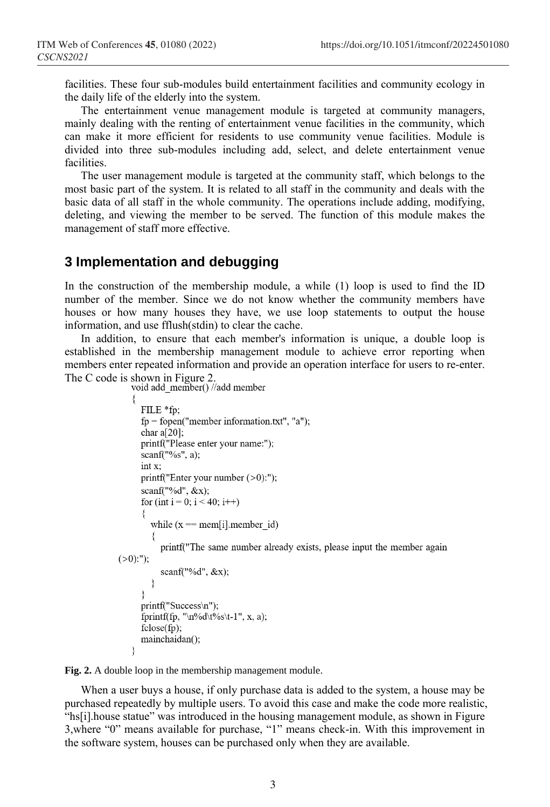facilities. These four sub-modules build entertainment facilities and community ecology in the daily life of the elderly into the system.

The entertainment venue management module is targeted at community managers, mainly dealing with the renting of entertainment venue facilities in the community, which can make it more efficient for residents to use community venue facilities. Module is divided into three sub-modules including add, select, and delete entertainment venue facilities.

The user management module is targeted at the community staff, which belongs to the most basic part of the system. It is related to all staff in the community and deals with the basic data of all staff in the whole community. The operations include adding, modifying, deleting, and viewing the member to be served. The function of this module makes the management of staff more effective.

### **3 Implementation and debugging**

In the construction of the membership module, a while (1) loop is used to find the ID number of the member. Since we do not know whether the community members have houses or how many houses they have, we use loop statements to output the house information, and use fflush(stdin) to clear the cache.

In addition, to ensure that each member's information is unique, a double loop is established in the membership management module to achieve error reporting when members enter repeated information and provide an operation interface for users to re-enter.

The C code is shown in Figure 2.<br>void add member() //add member

```
FILE *fp;
     fp = fopen("member information.txt", "a");char a[20];
     printf("Please enter your name:");
     scanf("%s", a);int x:
     printf("Enter your number (>0):");
     scanf("%d", &x);
     for (int i = 0; i < 40; i++)
        while (x == mem[i] . member id)printf("The same number already exists, please input the member again
(>0):");
          scanf("%d", &x);
        ₹
     printf("Success\n");
     fprintf(fp, "\n%d\t%s\t-1", x, a);
     fclose(fp);mainchaidan();
```
**Fig. 2.** A double loop in the membership management module.

When a user buys a house, if only purchase data is added to the system, a house may be purchased repeatedly by multiple users. To avoid this case and make the code more realistic, "hs[i].house statue" was introduced in the housing management module, as shown in Figure 3,where "0" means available for purchase, "1" means check-in. With this improvement in the software system, houses can be purchased only when they are available.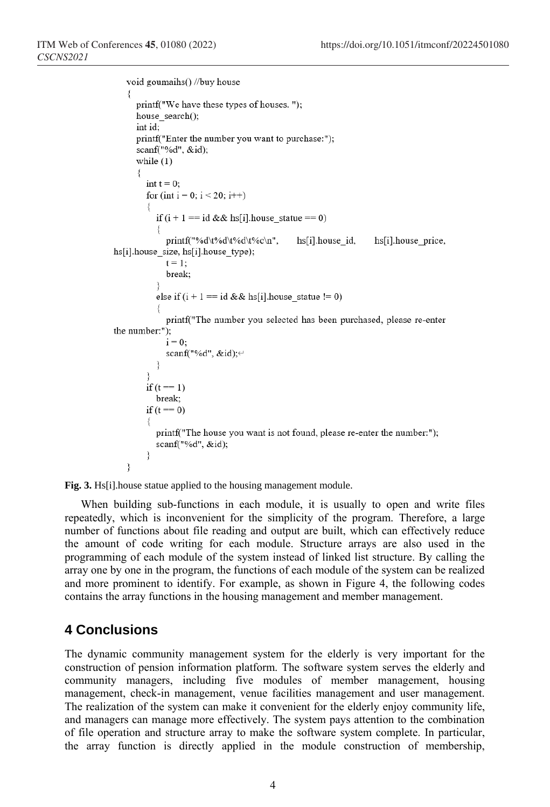```
void goumaihs() //buy house
   ₹
     printf("We have these types of houses."):
     house search();
     int id:
     printf("Enter the number you want to purchase:");
     scanf("%d", &id);
     while (1)\{int t = 0;
        for (int i = 0; i < 20; i++)
          if (i + 1 == id & \& h \circ [i], house statue == 0)
             printf("%d\t%d\t%d\t%c\n",
                                               hs[i].house id,
                                                                hs[i].house price,
hs[i].house_size, hs[i].house_type);
            t = 1:
             break;
          else if (i + 1 == id & k hs[i] house statue != 0)
             printf("The number you selected has been purchased, please re-enter
the number:");
             i = 0:
             scanf("%d", &id);<sup>←</sup>
          ₹
        ₹
        if (t == 1)break:
        if (t == 0)printf("The house you want is not found, please re-enter the number:");
          scanf("%d", &id);
        ₹
   ₹
```
**Fig. 3.** Hs[i].house statue applied to the housing management module.

When building sub-functions in each module, it is usually to open and write files repeatedly, which is inconvenient for the simplicity of the program. Therefore, a large number of functions about file reading and output are built, which can effectively reduce the amount of code writing for each module. Structure arrays are also used in the programming of each module of the system instead of linked list structure. By calling the array one by one in the program, the functions of each module of the system can be realized and more prominent to identify. For example, as shown in Figure 4, the following codes contains the array functions in the housing management and member management.

## **4 Conclusions**

The dynamic community management system for the elderly is very important for the construction of pension information platform. The software system serves the elderly and community managers, including five modules of member management, housing management, check-in management, venue facilities management and user management. The realization of the system can make it convenient for the elderly enjoy community life, and managers can manage more effectively. The system pays attention to the combination of file operation and structure array to make the software system complete. In particular, the array function is directly applied in the module construction of membership,